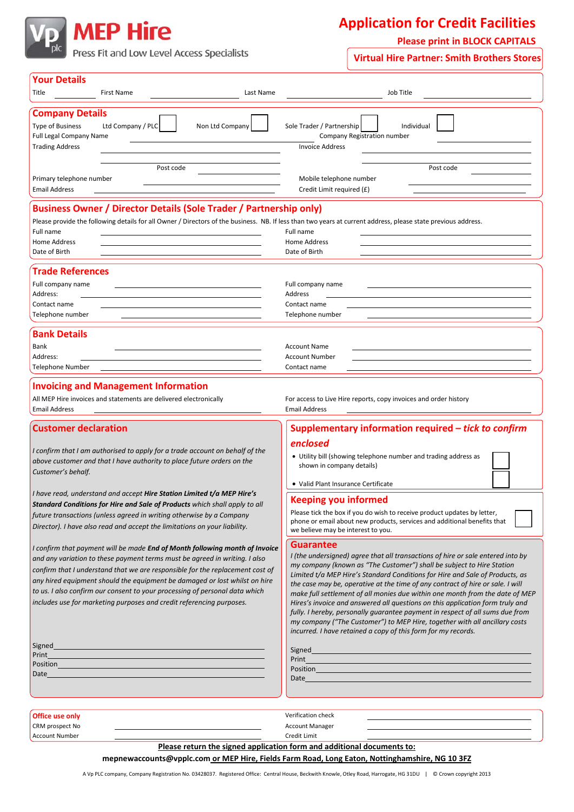

## **Application for Credit Facilities**

**Please print in BLOCK CAPITALS**

Press Fit and Low Level Access Specialists

**Virtual Hire Partner: Smith Brothers Stores**

| <b>Your Details</b><br>Title<br><b>First Name</b><br>Last Name                                                                                                                                                                                                                                                                                                                                                                                                                  | Job Title                                                                                                                                                                                                                                                                                                                                                                                                                                                                                                                                                                                                                                                                                                                                       |
|---------------------------------------------------------------------------------------------------------------------------------------------------------------------------------------------------------------------------------------------------------------------------------------------------------------------------------------------------------------------------------------------------------------------------------------------------------------------------------|-------------------------------------------------------------------------------------------------------------------------------------------------------------------------------------------------------------------------------------------------------------------------------------------------------------------------------------------------------------------------------------------------------------------------------------------------------------------------------------------------------------------------------------------------------------------------------------------------------------------------------------------------------------------------------------------------------------------------------------------------|
| <b>Company Details</b><br>Ltd Company / PLC<br><b>Type of Business</b><br>Non Ltd Company<br><b>Full Legal Company Name</b><br><b>Trading Address</b>                                                                                                                                                                                                                                                                                                                           | Sole Trader / Partnership<br>Individual<br>Company Registration number<br><b>Invoice Address</b>                                                                                                                                                                                                                                                                                                                                                                                                                                                                                                                                                                                                                                                |
| Post code<br>Primary telephone number<br><b>Email Address</b>                                                                                                                                                                                                                                                                                                                                                                                                                   | Post code<br>Mobile telephone number<br>Credit Limit required (£)                                                                                                                                                                                                                                                                                                                                                                                                                                                                                                                                                                                                                                                                               |
| <b>Business Owner / Director Details (Sole Trader / Partnership only)</b><br>Please provide the following details for all Owner / Directors of the business. NB. If less than two years at current address, please state previous address.<br>Full name<br>Home Address<br>Date of Birth                                                                                                                                                                                        | Full name<br>Home Address<br>Date of Birth                                                                                                                                                                                                                                                                                                                                                                                                                                                                                                                                                                                                                                                                                                      |
| <b>Trade References</b><br>Full company name<br>Address:<br>Contact name                                                                                                                                                                                                                                                                                                                                                                                                        | Full company name<br>Address<br>Contact name                                                                                                                                                                                                                                                                                                                                                                                                                                                                                                                                                                                                                                                                                                    |
| Telephone number<br><b>Bank Details</b>                                                                                                                                                                                                                                                                                                                                                                                                                                         | Telephone number                                                                                                                                                                                                                                                                                                                                                                                                                                                                                                                                                                                                                                                                                                                                |
| Bank<br>Address:<br><b>Telephone Number</b>                                                                                                                                                                                                                                                                                                                                                                                                                                     | <b>Account Name</b><br><b>Account Number</b><br>Contact name                                                                                                                                                                                                                                                                                                                                                                                                                                                                                                                                                                                                                                                                                    |
| <b>Invoicing and Management Information</b><br>All MEP Hire invoices and statements are delivered electronically<br>For access to Live Hire reports, copy invoices and order history<br><b>Email Address</b><br>Email Address                                                                                                                                                                                                                                                   |                                                                                                                                                                                                                                                                                                                                                                                                                                                                                                                                                                                                                                                                                                                                                 |
| <b>Customer declaration</b><br>I confirm that I am authorised to apply for a trade account on behalf of the<br>above customer and that I have authority to place future orders on the<br>Customer's behalf.                                                                                                                                                                                                                                                                     | Supplementary information required - tick to confirm<br>enclosed<br>• Utility bill (showing telephone number and trading address as<br>shown in company details)<br>• Valid Plant Insurance Certificate                                                                                                                                                                                                                                                                                                                                                                                                                                                                                                                                         |
| I have read, understand and accept <b>Hire Station Limited t/a MEP Hire's</b><br>Standard Conditions for Hire and Sale of Products which shall apply to all<br>future transactions (unless agreed in writing otherwise by a Company<br>Director). I have also read and accept the limitations on your liability.                                                                                                                                                                | <b>Keeping you informed</b><br>Please tick the box if you do wish to receive product updates by letter,<br>phone or email about new products, services and additional benefits that<br>we believe may be interest to you.                                                                                                                                                                                                                                                                                                                                                                                                                                                                                                                       |
| I confirm that payment will be made End of Month following month of Invoice<br>and any variation to these payment terms must be agreed in writing. I also<br>confirm that I understand that we are responsible for the replacement cost of<br>any hired equipment should the equipment be damaged or lost whilst on hire<br>to us. I also confirm our consent to your processing of personal data which<br>includes use for marketing purposes and credit referencing purposes. | <b>Guarantee</b><br>I (the undersigned) agree that all transactions of hire or sale entered into by<br>my company (known as "The Customer") shall be subject to Hire Station<br>Limited t/a MEP Hire's Standard Conditions for Hire and Sale of Products, as<br>the case may be, operative at the time of any contract of hire or sale. I will<br>make full settlement of all monies due within one month from the date of MEP<br>Hires's invoice and answered all questions on this application form truly and<br>fully. I hereby, personally guarantee payment in respect of all sums due from<br>my company ("The Customer") to MEP Hire, together with all ancillary costs<br>incurred. I have retained a copy of this form for my records. |
| Signed<br>Position <b>Providence of the Contract of Contract Contract of Contract Contract Contract Contract Contract Contract Contract Contract Contract Contract Contract Contract Contract Contract Contract Contract Contract Contract</b><br>Date                                                                                                                                                                                                                          | Position <b>Provided and Contact Contact of Contact Contact Contact Contact Contact Contact Contact Contact Contact Contact Contact Contact Contact Contact Contact Contact Contact Contact Contact Contact Contact Contact Cont</b><br>Date and the contract of the contract of the contract of the contract of the contract of the contract of the contract of the contract of the contract of the contract of the contract of the contract of the contract of the c                                                                                                                                                                                                                                                                          |
| Office use only<br>CRM prospect No<br><b>Account Number</b>                                                                                                                                                                                                                                                                                                                                                                                                                     | Verification check<br><b>Account Manager</b><br>Credit Limit<br>Please return the signed application form and additional documents to:<br>mepnewaccounts@vpplc.com or MEP Hire, Fields Farm Road, Long Eaton, Nottinghamshire, NG 10 3FZ                                                                                                                                                                                                                                                                                                                                                                                                                                                                                                        |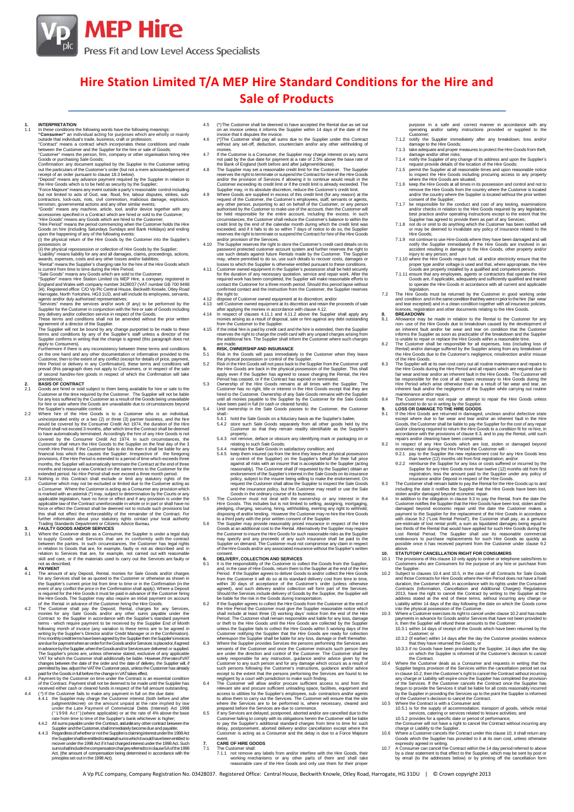

## **Hire Station Limited T/A MEP Hire Standard Conditions for the Hire and Sale of Products**

1. INTERPRETATION<br>
In these conditions the following words have the following meanings:<br>
"Consumer" an individual acting for purposes which are wholly or mainly<br>
"Consumer" an individual acting for purposes which are wondi

(ii) the physical repossession or collection of Hire Goods by the Supplier;<br>Thability' means liability for any and all damages, claims, proceedings, actions, ewards, expenses, costs and any other looses and/or liabilities;

- 2.1 Goods are hired or sold subject to them being available for hire or sale to the Customer at the time required by the Customer. The Supplier will not be liable
- for any loss suffreed by the Customer as a result of the Goods being unavailable<br>for hire or sale where the Goods are unavailable due to circumstances beyond<br>to this cupilers reassonable contribute.<br>2.2 Where hire of the H
- 

- 3.1 Where the Customer deals as a Consumer, the Supplier is under a legal duty<br>to supply Goods and Services that are in conformity with the contract<br>between the parties. In such circumstances, the Customer has legal rights not as described.<br>PAYMENT
- 
- 4. PAYMENT THE amount of any Deposit, Rental, monies for Sale Goods and/or charges for Sale The amount of any Deposites shall be as quoted to the Customer or otherwise as shown in event of any confield the price in the Con
- 
- VAT for which the Customer shall additionally be liable. However, if therease of the conduct of the conduct of the conduct of the positive parameter of parameter parameter parameter parameter parameter parameter parameter
	- Supplier andtheCustomer,shall immediatelybecomedueand payable; 4.4.3 RegardlessofwhetherornottheSupplierisclaiminginterestunderthe1998Act
	- the Suppliershallbeentitledto recoerall sumswhich it wouldhave been entitled to<br>recover under the 1998 Act if it had charged interest under the 1998 Act. Such<br>sumsshall includethe compensation charges referredto in clause Act, (the amount of compensation being determined in accordance with the principles set out in the 1998 Act).
- 4.5 (\*) The Customer shall be deemed to have accepted the Rental due as set out on an invoice unless it informs the Supplier within 14 days of the date of the invoice that it disputes the invoice.
- 4.6 (\*)The Customer shall pay all sums due to the Supplier under this Contract without any set-off, deduction, counterclaim and/or any other withholding of
- 
- 
- The Customer is a Consumer, the Supplier may charge interest on any sums<br>notice and by the due date for payment at a rate of 2.5% above the base rate of<br>the Supplier may set a reasonable credit limit for the Customer. The
- 
- required work has been completed, the Supplier will make reasonable efforts to<br>contact the Customer for a three month period. Should this period lapse without<br>confirmed contact and the instruction from the Customer, the Su commencional and the matricular normane customer, the c<br>the right to:<br>dispose of Customer owned equipment at its discretion: and/o
- 
- 
- 
- 4.13 dispose of Customer owned equipment at its discretion; and/or<br>4.13 sell Customer owned equipment at its discretion and retain the proceeds of sale<br>after applying the monies in accordance with clause 4.12.<br>4.14 In resp

- are made.<br>**5. RISK, OWNERSHIP AND INSURANCE**<br>
5.1 Risk in the Goods will pass immediately to the Customer when they leave<br>
the physical possession or control of the Supplier.
- 
- 5.2 Risk in the Hire Goods will not pass back to the Supplier from the Customer until apply even if the Supplier. This shall apply even if the Supplier has agreed to cease charging the Rental, the Hire Period has ceased, o
- shall:-<br>5.4.1 hold the Sale Goods on a fiduciary basis as the Supplier's bailee;<br>5.4.2 store such Sale Goods separately from all other goods held by the<br>Customer so that they remain readily identifiable as the Supplier's
	-
	-
- 5.4.2 store such Sale Goods separately from all other goods held by the<br>customer so that they remain readily identifiable as the Supplier's<br>forcely,<br>constrained the constant example in the set of the set of the set of<br>the
- 
- may specify and any proceeds of any such insurance shall be paid to the<br>Supplier on demand. The Customer must not compromise any claim in respect<br>of the Hire Goods and/or any associated insurance without the Supplier's wri
- 
- 
- 6. DESERVICES COLLECTION AND SERVICES<br>
CONSERVICES (15 In the Cass of LEVERY, COLLECTION AND SERVICES<br>
16.1 Is the responsibility of the Customer to collect the Goods from the Supplier,<br>
and, in the case of Hire Goods, ret
- 
- Customer to any such person and for any damage which occurs as a result of customer's instructions, guidance and/or advice except to the extent that the persons performing the Services are found to be negligent by a court
- delay, postponement, aborted delivery and/or cancellation except where the Customer is acting as a Consumer and the delay is due to a Force Majeure
- event. **7. CARE OF HIRE GOODS**
	-
- 7.1 The Customer shall:<br>7.1.1 not remove any labels from and/or interfere with the Hire Goods, their<br>working mechanisms or any other parts of them and shall take<br>reasonable care of the Hire Goods and only use them for thei

purpose in a safe and correct manner in accordance with any operating and/or safety instructions provided or supplied to the

- Customer;<br>notify the Supplier immediately after any breakdown. loss and/o
- 
- 
- 
- 7.1.2 notify the Supplier immediately after any breakdown, loss and/or<br>
2 notify the Supplier immediately after any breakdown, loss and/or<br>
7.1.3 take deequate and proper measures to protect the Hire Goods from theft,<br>
7.1
- 
- 7.1.7 be responsible for the conduct and cost of any testing, examinations<br>and/or checks in relation to the Hire Goods required by any legislation,<br>best practice and/or operating instructions except to the extent that the<br>
- 
- 
- 7.1.9 not continue to use Hire Goods where they have been damaged and will<br>notify the Supplier immediately if the Hire Goods are involved in an<br>accident resulting in damage to the Hire Goods, other property and/or<br>notion i

7.2 The Hire Goods must be returned by the Customer in good working order<br>and condition and in the same condition that they were in prior to the hire (fair wear<br>and tear excepted) and in a clean condition together with all

- Allowance may be made in relation to the Rental to the customer for any<br>non-use of the Hire Goods due to breakdown caused by the development of<br>an inherent fault and/or fair wear and tear on condition that the Customer<br>inf
- 
- The Supplier will at its own cost carry out all routine maintenance and repairs to the Hire Goods during the Hire Period and all repairs which are required due to fair wear and tear and/or an inherent fault in the Hire Goo
- 
- 
- 
- 
- 
- 
- **9.** LOSS OR DAMAGE TO the Hire GoodS are intered in damaged, unclean and/or defective state<br>
1. LOSS OR DAMAGE TO THE HIRE GOODS<br>
9.1 It he Hire GoodS are returned in damaged, unclean and/or defective state<br>
except where

- The provisions of this clause 10 only apply to online or telephone sales/hires to Customers who are Consumers for the purpose of any hire or purchase from
- Customers who are Consumers for the purpose of any hire or purchase from<br>the Supplier.<br>Subject to clauses 10.4 and 10.5, in the case of all Contracts for Stale Coods<br>and those Contracts of Hire Goods where the Hire Period
- -
	-
- 10.4 Where the Customer deals as a Consumer and requests in writing that the Supplier begins provision of the Services within the cancellation period set out in clause 10.2, then the Customer's right to cancel the Contract
- -
- 
- 
- 
- 
- -